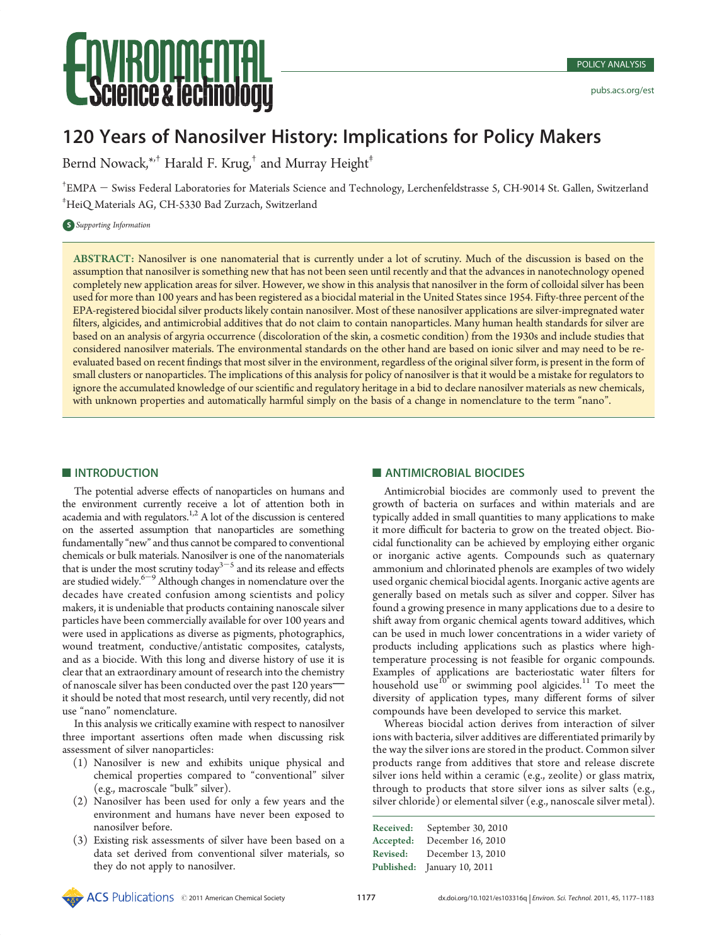# 120 Years of Nanosilver History: Implications for Policy Makers

Bernd Nowack,\*<sup>+</sup> Harald F. Krug,<sup>+</sup> and Murray Height<sup>+</sup>

† EMPA - Swiss Federal Laboratories for Materials Science and Technology, Lerchenfeldstrasse 5, CH-9014 St. Gallen, Switzerland ‡ HeiQ Materials AG, CH-5330 Bad Zurzach, Switzerland

#### **S** Supporting Information

**PUT IN THE REAT OF PRICE CONTENT CONTENT CONTENT AMERICAN CHEMIC SOCIETY AND CONTENT CHEMIC CONTENT CONTENT CONTENT CONTENT CONTENT CONTENT CONTENT CONTENT CONTENT CONTENT CONTENT CONTENT CONTENT CONTENT CONTENT CONTENT C** ABSTRACT: Nanosilver is one nanomaterial that is currently under a lot of scrutiny. Much of the discussion is based on the assumption that nanosilver is something new that has not been seen until recently and that the advances in nanotechnology opened completely new application areas for silver. However, we show in this analysis that nanosilver in the form of colloidal silver has been used for more than 100 years and has been registered as a biocidal material in the United States since 1954. Fifty-three percent of the EPA-registered biocidal silver products likely contain nanosilver. Most of these nanosilver applications are silver-impregnated water filters, algicides, and antimicrobial additives that do not claim to contain nanoparticles. Many human health standards for silver are based on an analysis of argyria occurrence (discoloration of the skin, a cosmetic condition) from the 1930s and include studies that considered nanosilver materials. The environmental standards on the other hand are based on ionic silver and may need to be reevaluated based on recent findings that most silver in the environment, regardless of the original silver form, is present in the form of small clusters or nanoparticles. The implications of this analysis for policy of nanosilver is that it would be a mistake for regulators to ignore the accumulated knowledge of our scientific and regulatory heritage in a bid to declare nanosilver materials as new chemicals, with unknown properties and automatically harmful simply on the basis of a change in nomenclature to the term "nano".

# **INTRODUCTION**

The potential adverse effects of nanoparticles on humans and the environment currently receive a lot of attention both in academia and with regulators. $1,2$  A lot of the discussion is centered on the asserted assumption that nanoparticles are something fundamentally "new" and thus cannot be compared to conventional chemicals or bulk materials. Nanosilver is one of the nanomaterials that is under the most scrutiny today<sup>3-5</sup> and its release and effects are studied widely. $6-9$  Although changes in nomenclature over the decades have created confusion among scientists and policy makers, it is undeniable that products containing nanoscale silver particles have been commercially available for over 100 years and were used in applications as diverse as pigments, photographics, wound treatment, conductive/antistatic composites, catalysts, and as a biocide. With this long and diverse history of use it is clear that an extraordinary amount of research into the chemistry of nanoscale silver has been conducted over the past 120 years; it should be noted that most research, until very recently, did not use "nano" nomenclature.

In this analysis we critically examine with respect to nanosilver three important assertions often made when discussing risk assessment of silver nanoparticles:

- (1) Nanosilver is new and exhibits unique physical and chemical properties compared to "conventional" silver (e.g., macroscale "bulk" silver).
- (2) Nanosilver has been used for only a few years and the environment and humans have never been exposed to nanosilver before.
- (3) Existing risk assessments of silver have been based on a data set derived from conventional silver materials, so they do not apply to nanosilver.

# **ANTIMICROBIAL BIOCIDES**

Antimicrobial biocides are commonly used to prevent the growth of bacteria on surfaces and within materials and are typically added in small quantities to many applications to make it more difficult for bacteria to grow on the treated object. Biocidal functionality can be achieved by employing either organic or inorganic active agents. Compounds such as quaternary ammonium and chlorinated phenols are examples of two widely used organic chemical biocidal agents. Inorganic active agents are generally based on metals such as silver and copper. Silver has found a growing presence in many applications due to a desire to shift away from organic chemical agents toward additives, which can be used in much lower concentrations in a wider variety of products including applications such as plastics where hightemperature processing is not feasible for organic compounds. Examples of applications are bacteriostatic water filters for household use $^{10^+}$ or swimming pool algicides. $^{11}$  To meet the diversity of application types, many different forms of silver compounds have been developed to service this market.

Whereas biocidal action derives from interaction of silver ions with bacteria, silver additives are differentiated primarily by the way the silver ions are stored in the product. Common silver products range from additives that store and release discrete silver ions held within a ceramic (e.g., zeolite) or glass matrix, through to products that store silver ions as silver salts (e.g., silver chloride) or elemental silver (e.g., nanoscale silver metal).

| Received:       | September 30, 2010 |
|-----------------|--------------------|
| Accepted:       | December 16, 2010  |
| <b>Revised:</b> | December 13, 2010  |
| Published:      | January 10, 2011   |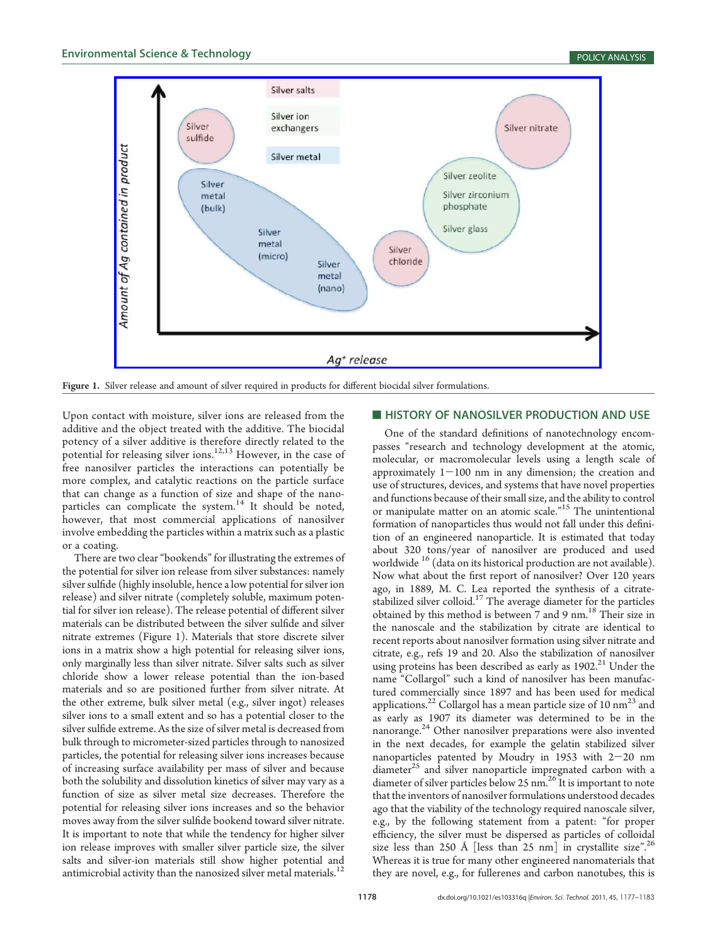

Figure 1. Silver release and amount of silver required in products for different biocidal silver formulations.

Upon contact with moisture, silver ions are released from the additive and the object treated with the additive. The biocidal potency of a silver additive is therefore directly related to the potential for releasing silver ions. $^{12,13}$  However, in the case of free nanosilver particles the interactions can potentially be more complex, and catalytic reactions on the particle surface that can change as a function of size and shape of the nanoparticles can complicate the system.<sup>14</sup> It should be noted, however, that most commercial applications of nanosilver involve embedding the particles within a matrix such as a plastic or a coating.

There are two clear "bookends" for illustrating the extremes of the potential for silver ion release from silver substances: namely silver sulfide (highly insoluble, hence a low potential for silver ion release) and silver nitrate (completely soluble, maximum potential for silver ion release). The release potential of different silver materials can be distributed between the silver sulfide and silver nitrate extremes (Figure 1). Materials that store discrete silver ions in a matrix show a high potential for releasing silver ions, only marginally less than silver nitrate. Silver salts such as silver chloride show a lower release potential than the ion-based materials and so are positioned further from silver nitrate. At the other extreme, bulk silver metal (e.g., silver ingot) releases silver ions to a small extent and so has a potential closer to the silver sulfide extreme. As the size of silver metal is decreased from bulk through to micrometer-sized particles through to nanosized particles, the potential for releasing silver ions increases because of increasing surface availability per mass of silver and because both the solubility and dissolution kinetics of silver may vary as a function of size as silver metal size decreases. Therefore the potential for releasing silver ions increases and so the behavior moves away from the silver sulfide bookend toward silver nitrate. It is important to note that while the tendency for higher silver ion release improves with smaller silver particle size, the silver salts and silver-ion materials still show higher potential and antimicrobial activity than the nanosized silver metal materials.<sup>12</sup>

# **HISTORY OF NANOSILVER PRODUCTION AND USE**

One of the standard definitions of nanotechnology encompasses "research and technology development at the atomic, molecular, or macromolecular levels using a length scale of approximately  $1-100$  nm in any dimension; the creation and use of structures, devices, and systems that have novel properties and functions because of their small size, and the ability to control or manipulate matter on an atomic scale."<sup>15</sup> The unintentional formation of nanoparticles thus would not fall under this definition of an engineered nanoparticle. It is estimated that today about 320 tons/year of nanosilver are produced and used worldwide <sup>16</sup> (data on its historical production are not available). Now what about the first report of nanosilver? Over 120 years ago, in 1889, M. C. Lea reported the synthesis of a citratestabilized silver colloid.<sup>17</sup> The average diameter for the particles obtained by this method is between 7 and 9 nm.<sup>18</sup> Their size in the nanoscale and the stabilization by citrate are identical to recent reports about nanosilver formation using silver nitrate and citrate, e.g., refs 19 and 20. Also the stabilization of nanosilver using proteins has been described as early as 1902.<sup>21</sup> Under the name "Collargol" such a kind of nanosilver has been manufactured commercially since 1897 and has been used for medical applications.<sup>22</sup> Collargol has a mean particle size of 10 nm<sup>23</sup> and as early as 1907 its diameter was determined to be in the nanorange.<sup>24</sup> Other nanosilver preparations were also invented in the next decades, for example the gelatin stabilized silver nanoparticles patented by Moudry in 1953 with 2-20 nm diameter<sup>25</sup> and silver nanoparticle impregnated carbon with a diameter of silver particles below 25 nm.<sup>26</sup> It is important to note that the inventors of nanosilver formulations understood decades ago that the viability of the technology required nanoscale silver, e.g., by the following statement from a patent: "for proper efficiency, the silver must be dispersed as particles of colloidal size less than 250 Å [less than 25 nm] in crystallite size".<sup>26</sup> Whereas it is true for many other engineered nanomaterials that they are novel, e.g., for fullerenes and carbon nanotubes, this is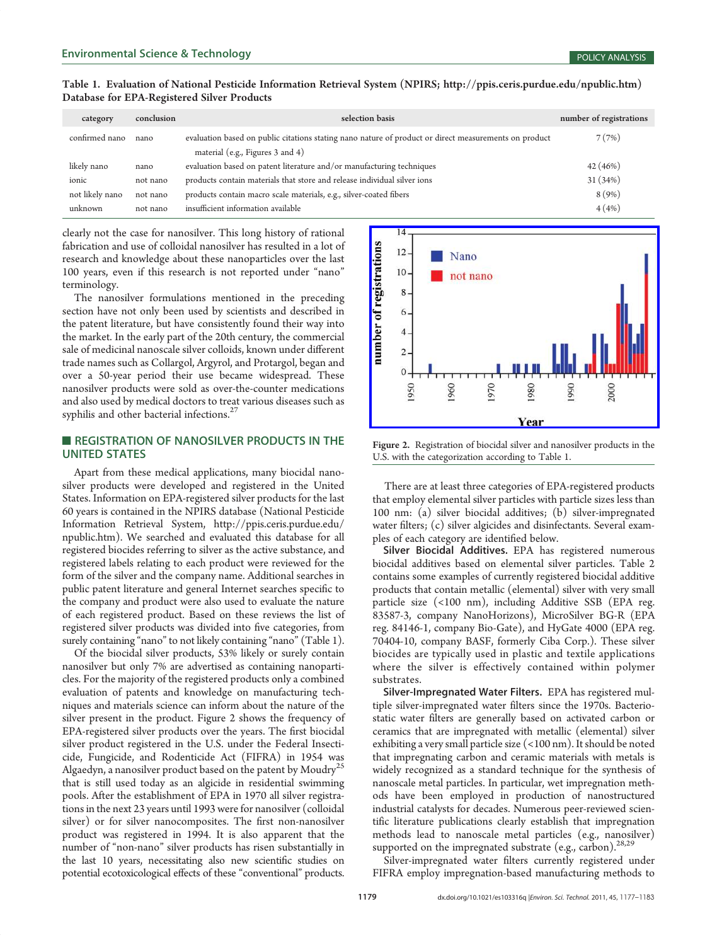| category        | conclusion | selection basis                                                                                                                           | number of registrations |
|-----------------|------------|-------------------------------------------------------------------------------------------------------------------------------------------|-------------------------|
| confirmed nano  | nano       | evaluation based on public citations stating nano nature of product or direct measurements on product<br>material (e.g., Figures 3 and 4) | 7(7%)                   |
| likely nano     | nano       | evaluation based on patent literature and/or manufacturing techniques                                                                     | 42 (46%)                |
| ionic           | not nano   | products contain materials that store and release individual silver ions                                                                  | 31(34%)                 |
| not likely nano | not nano   | products contain macro scale materials, e.g., silver-coated fibers                                                                        | 8(9%)                   |
| unknown         | not nano   | insufficient information available                                                                                                        | 4(4%                    |

| Table 1.  Evaluation of National Pesticide Information Retrieval System (NPIRS; http://ppis.ceris.purdue.edu/npublic.htm) |  |
|---------------------------------------------------------------------------------------------------------------------------|--|
| Database for EPA-Registered Silver Products                                                                               |  |

clearly not the case for nanosilver. This long history of rational fabrication and use of colloidal nanosilver has resulted in a lot of research and knowledge about these nanoparticles over the last 100 years, even if this research is not reported under "nano" terminology.

The nanosilver formulations mentioned in the preceding section have not only been used by scientists and described in the patent literature, but have consistently found their way into the market. In the early part of the 20th century, the commercial sale of medicinal nanoscale silver colloids, known under different trade names such as Collargol, Argyrol, and Protargol, began and over a 50-year period their use became widespread. These nanosilver products were sold as over-the-counter medications and also used by medical doctors to treat various diseases such as syphilis and other bacterial infections.<sup>27</sup>

# **REGISTRATION OF NANOSILVER PRODUCTS IN THE** UNITED STATES

Apart from these medical applications, many biocidal nanosilver products were developed and registered in the United States. Information on EPA-registered silver products for the last 60 years is contained in the NPIRS database (National Pesticide Information Retrieval System, http://ppis.ceris.purdue.edu/ npublic.htm). We searched and evaluated this database for all registered biocides referring to silver as the active substance, and registered labels relating to each product were reviewed for the form of the silver and the company name. Additional searches in public patent literature and general Internet searches specific to the company and product were also used to evaluate the nature of each registered product. Based on these reviews the list of registered silver products was divided into five categories, from surely containing "nano" to not likely containing "nano"(Table 1).

Of the biocidal silver products, 53% likely or surely contain nanosilver but only 7% are advertised as containing nanoparticles. For the majority of the registered products only a combined evaluation of patents and knowledge on manufacturing techniques and materials science can inform about the nature of the silver present in the product. Figure 2 shows the frequency of EPA-registered silver products over the years. The first biocidal silver product registered in the U.S. under the Federal Insecticide, Fungicide, and Rodenticide Act (FIFRA) in 1954 was Algaedyn, a nanosilver product based on the patent by Moudry $^{25}$ that is still used today as an algicide in residential swimming pools. After the establishment of EPA in 1970 all silver registrations in the next 23 years until 1993 were for nanosilver (colloidal silver) or for silver nanocomposites. The first non-nanosilver product was registered in 1994. It is also apparent that the number of "non-nano" silver products has risen substantially in the last 10 years, necessitating also new scientific studies on potential ecotoxicological effects of these "conventional" products.



Figure 2. Registration of biocidal silver and nanosilver products in the U.S. with the categorization according to Table 1.

There are at least three categories of EPA-registered products that employ elemental silver particles with particle sizes less than 100 nm: (a) silver biocidal additives; (b) silver-impregnated water filters; (c) silver algicides and disinfectants. Several examples of each category are identified below.

Silver Biocidal Additives. EPA has registered numerous biocidal additives based on elemental silver particles. Table 2 contains some examples of currently registered biocidal additive products that contain metallic (elemental) silver with very small particle size (<100 nm), including Additive SSB (EPA reg. 83587-3, company NanoHorizons), MicroSilver BG-R (EPA reg. 84146-1, company Bio-Gate), and HyGate 4000 (EPA reg. 70404-10, company BASF, formerly Ciba Corp.). These silver biocides are typically used in plastic and textile applications where the silver is effectively contained within polymer substrates.

Silver-Impregnated Water Filters. EPA has registered multiple silver-impregnated water filters since the 1970s. Bacteriostatic water filters are generally based on activated carbon or ceramics that are impregnated with metallic (elemental) silver exhibiting a very small particle size (<100 nm). It should be noted that impregnating carbon and ceramic materials with metals is widely recognized as a standard technique for the synthesis of nanoscale metal particles. In particular, wet impregnation methods have been employed in production of nanostructured industrial catalysts for decades. Numerous peer-reviewed scientific literature publications clearly establish that impregnation methods lead to nanoscale metal particles (e.g., nanosilver) supported on the impregnated substrate (e.g., carbon).<sup>28,29</sup>

Silver-impregnated water filters currently registered under FIFRA employ impregnation-based manufacturing methods to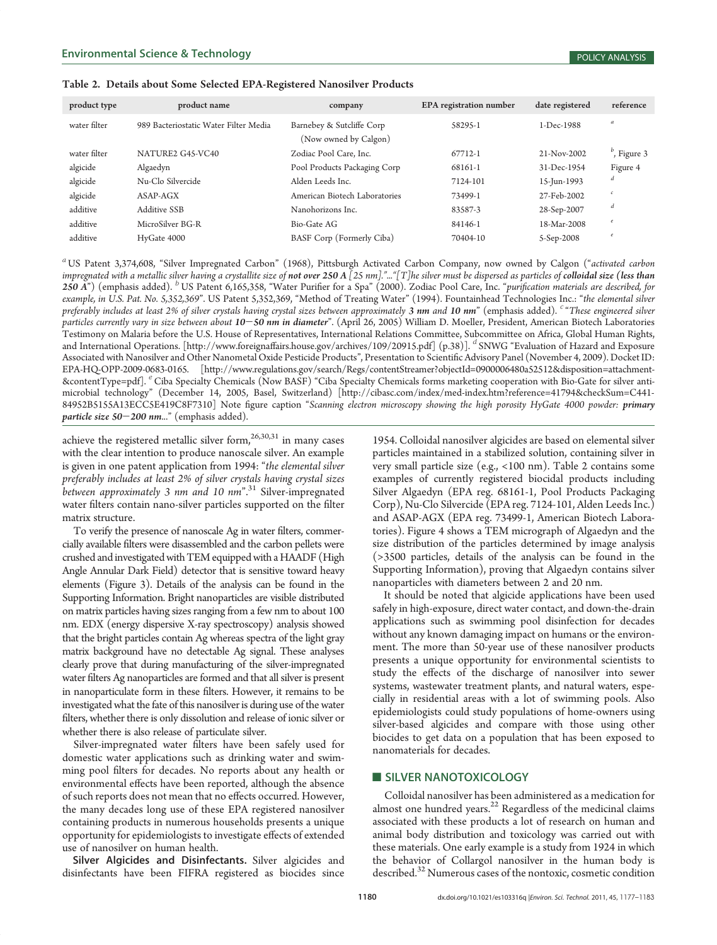|  |  |  |  |  | Table 2. Details about Some Selected EPA-Registered Nanosilver Products |  |  |
|--|--|--|--|--|-------------------------------------------------------------------------|--|--|
|--|--|--|--|--|-------------------------------------------------------------------------|--|--|

| product type | product name                          | company                       | <b>EPA</b> registration number | date registered | reference               |
|--------------|---------------------------------------|-------------------------------|--------------------------------|-----------------|-------------------------|
| water filter | 989 Bacteriostatic Water Filter Media | Barnebey & Sutcliffe Corp     | 58295-1                        | 1-Dec-1988      | a                       |
|              |                                       | (Now owned by Calgon)         |                                |                 |                         |
| water filter | NATURE2 G45-VC40                      | Zodiac Pool Care, Inc.        | 67712-1                        | 21-Nov-2002     | <sup>'</sup> , Figure 3 |
| algicide     | Algaedyn                              | Pool Products Packaging Corp  | 68161-1                        | 31-Dec-1954     | Figure 4                |
| algicide     | Nu-Clo Silvercide                     | Alden Leeds Inc.              | 7124-101                       | 15-Jun-1993     | d                       |
| algicide     | ASAP-AGX                              | American Biotech Laboratories | 73499-1                        | 27-Feb-2002     | с                       |
| additive     | Additive SSB                          | Nanohorizons Inc.             | 83587-3                        | 28-Sep-2007     | d                       |
| additive     | MicroSilver BG-R                      | Bio-Gate AG                   | 84146-1                        | 18-Mar-2008     | e                       |
| additive     | HyGate 4000                           | BASF Corp (Formerly Ciba)     | 70404-10                       | 5-Sep-2008      | e                       |

 ${}^a$ US Patent 3,374,608, "Silver Impregnated Carbon" (1968), Pittsburgh Activated Carbon Company, now owned by Calgon ("activated carbon impregnated with a metallic silver having a crystallite size of not over  $250$  A [25 nm]."..."[T]he silver must be dispersed as particles of colloidal size (less than 250 A") (emphasis added).  $^b$  US Patent 6,165,358, "Water Purifier for a Spa" (2000). Zodiac Pool Care, Inc. "purification materials are described, for example, in U.S. Pat. No. 5,352,369". US Patent 5,352,369, "Method of Treating Water" (1994). Fountainhead Technologies Inc.: "the elemental silver preferably includes at least 2% of silver crystals having crystal sizes between approximately 3 nm and 10 nm" (emphasis added). C "These engineered silver particles currently vary in size between about 10-50 nm in diameter". (April 26, 2005) William D. Moeller, President, American Biotech Laboratories Testimony on Malaria before the U.S. House of Representatives, International Relations Committee, Subcommittee on Africa, Global Human Rights, and International Operations. [http://www.foreignaffairs.house.gov/archives/109/20915.pdf] (p.38)]. <sup>d</sup> SNWG "Evaluation of Hazard and Exposure Associated with Nanosilver and Other Nanometal Oxide Pesticide Products", Presentation to Scientific Advisory Panel (November 4, 2009). Docket ID: EPA-HQ-OPP-2009-0683-0165. [http://www.regulations.gov/search/Regs/contentStreamer?objectId=0900006480a52512&disposition=attachment- &contentType=pdf]. <sup>e</sup> Ciba Specialty Chemicals (Now BASF) "Ciba Specialty Chemicals forms marketing cooperation with Bio-Gate for silver antimicrobial technology" (December 14, 2005, Basel, Switzerland) [http://cibasc.com/index/med-index.htm?reference=41794&checkSum=C441- 84952B5155A13ECC5E419C8F7310] Note figure caption "Scanning electron microscopy showing the high porosity HyGate 4000 powder: primary particle size 50-200 nm..." (emphasis added).

achieve the registered metallic silver form,  $26,30,31$  in many cases with the clear intention to produce nanoscale silver. An example is given in one patent application from 1994: "the elemental silver preferably includes at least 2% of silver crystals having crystal sizes between approximately 3 nm and 10 nm". <sup>31</sup> Silver-impregnated water filters contain nano-silver particles supported on the filter matrix structure.

To verify the presence of nanoscale Ag in water filters, commercially available filters were disassembled and the carbon pellets were crushed and investigated with TEM equipped with a HAADF (High Angle Annular Dark Field) detector that is sensitive toward heavy elements (Figure 3). Details of the analysis can be found in the Supporting Information. Bright nanoparticles are visible distributed on matrix particles having sizes ranging from a few nm to about 100 nm. EDX (energy dispersive X-ray spectroscopy) analysis showed that the bright particles contain Ag whereas spectra of the light gray matrix background have no detectable Ag signal. These analyses clearly prove that during manufacturing of the silver-impregnated water filters Ag nanoparticles are formed and that all silver is present in nanoparticulate form in these filters. However, it remains to be investigated what the fate of this nanosilver is during use of the water filters, whether there is only dissolution and release of ionic silver or whether there is also release of particulate silver.

Silver-impregnated water filters have been safely used for domestic water applications such as drinking water and swimming pool filters for decades. No reports about any health or environmental effects have been reported, although the absence of such reports does not mean that no effects occurred. However, the many decades long use of these EPA registered nanosilver containing products in numerous households presents a unique opportunity for epidemiologists to investigate effects of extended use of nanosilver on human health.

Silver Algicides and Disinfectants. Silver algicides and disinfectants have been FIFRA registered as biocides since

1954. Colloidal nanosilver algicides are based on elemental silver particles maintained in a stabilized solution, containing silver in very small particle size (e.g., <100 nm). Table 2 contains some examples of currently registered biocidal products including Silver Algaedyn (EPA reg. 68161-1, Pool Products Packaging Corp), Nu-Clo Silvercide (EPA reg. 7124-101, Alden Leeds Inc.) and ASAP-AGX (EPA reg. 73499-1, American Biotech Laboratories). Figure 4 shows a TEM micrograph of Algaedyn and the size distribution of the particles determined by image analysis (>3500 particles, details of the analysis can be found in the Supporting Information), proving that Algaedyn contains silver nanoparticles with diameters between 2 and 20 nm.

It should be noted that algicide applications have been used safely in high-exposure, direct water contact, and down-the-drain applications such as swimming pool disinfection for decades without any known damaging impact on humans or the environment. The more than 50-year use of these nanosilver products presents a unique opportunity for environmental scientists to study the effects of the discharge of nanosilver into sewer systems, wastewater treatment plants, and natural waters, especially in residential areas with a lot of swimming pools. Also epidemiologists could study populations of home-owners using silver-based algicides and compare with those using other biocides to get data on a population that has been exposed to nanomaterials for decades.

#### **SILVER NANOTOXICOLOGY**

Colloidal nanosilver has been administered as a medication for almost one hundred years.<sup>22</sup> Regardless of the medicinal claims associated with these products a lot of research on human and animal body distribution and toxicology was carried out with these materials. One early example is a study from 1924 in which the behavior of Collargol nanosilver in the human body is described.<sup>32</sup> Numerous cases of the nontoxic, cosmetic condition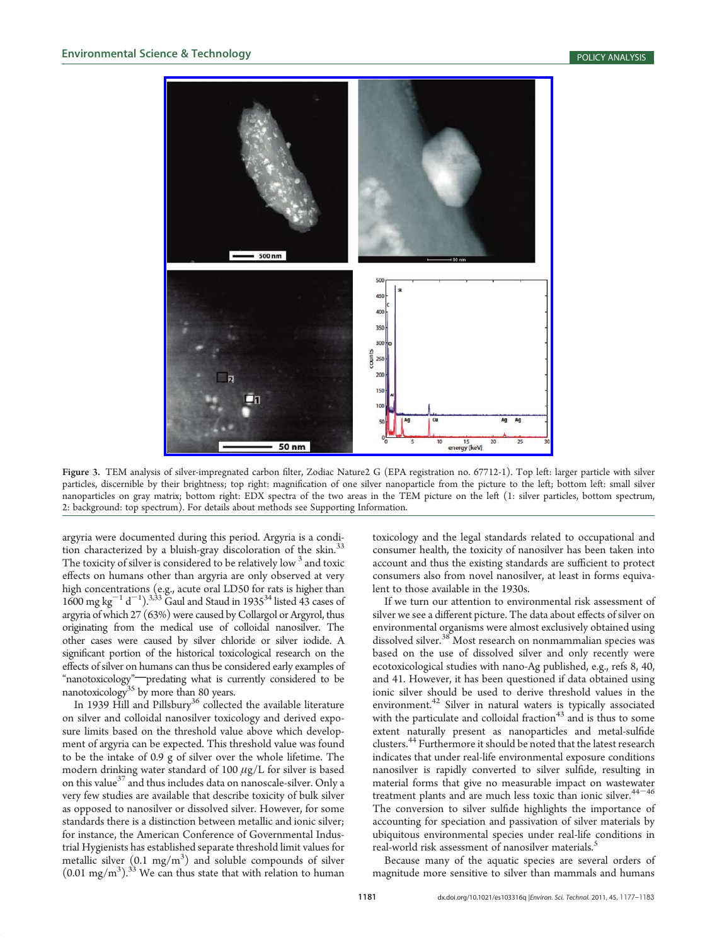

Figure 3. TEM analysis of silver-impregnated carbon filter, Zodiac Nature2 G (EPA registration no. 67712-1). Top left: larger particle with silver particles, discernible by their brightness; top right: magnification of one silver nanoparticle from the picture to the left; bottom left: small silver nanoparticles on gray matrix; bottom right: EDX spectra of the two areas in the TEM picture on the left (1: silver particles, bottom spectrum, 2: background: top spectrum). For details about methods see Supporting Information.

argyria were documented during this period. Argyria is a condition characterized by a bluish-gray discoloration of the skin. $33$ The toxicity of silver is considered to be relatively low  $3$  and toxic effects on humans other than argyria are only observed at very high concentrations (e.g., acute oral LD50 for rats is higher than  $1600 \text{ mg kg}^{-1} \text{ d}^{-1}$ ).<sup>3,33</sup> Gaul and Staud in  $1935^{34}$  listed 43 cases of argyria of which 27 (63%) were caused by Collargol or Argyrol, thus originating from the medical use of colloidal nanosilver. The other cases were caused by silver chloride or silver iodide. A significant portion of the historical toxicological research on the effects of silver on humans can thus be considered early examples of "nanotoxicology"<sup>---</sup>predating what is currently considered to be nanotoxicology<sup>35</sup> by more than 80 years.

In 1939 Hill and Pillsbury<sup>36</sup> collected the available literature on silver and colloidal nanosilver toxicology and derived exposure limits based on the threshold value above which development of argyria can be expected. This threshold value was found to be the intake of 0.9 g of silver over the whole lifetime. The modern drinking water standard of 100  $\mu$ g/L for silver is based on this value<sup>37</sup> and thus includes data on nanoscale-silver. Only a very few studies are available that describe toxicity of bulk silver as opposed to nanosilver or dissolved silver. However, for some standards there is a distinction between metallic and ionic silver; for instance, the American Conference of Governmental Industrial Hygienists has established separate threshold limit values for metallic silver  $(0.1 \text{ mg/m}^3)$  and soluble compounds of silver  $(0.01 \text{ mg/m}^3)$ .<sup>33</sup> We can thus state that with relation to human

toxicology and the legal standards related to occupational and consumer health, the toxicity of nanosilver has been taken into account and thus the existing standards are sufficient to protect consumers also from novel nanosilver, at least in forms equivalent to those available in the 1930s.

If we turn our attention to environmental risk assessment of silver we see a different picture. The data about effects of silver on environmental organisms were almost exclusively obtained using dissolved silver.<sup>38</sup> Most research on nonmammalian species was based on the use of dissolved silver and only recently were ecotoxicological studies with nano-Ag published, e.g., refs 8, 40, and 41. However, it has been questioned if data obtained using ionic silver should be used to derive threshold values in the environment.<sup>42</sup> Silver in natural waters is typically associated with the particulate and colloidal fraction<sup>43</sup> and is thus to some extent naturally present as nanoparticles and metal-sulfide clusters.<sup>44</sup> Furthermore it should be noted that the latest research indicates that under real-life environmental exposure conditions nanosilver is rapidly converted to silver sulfide, resulting in material forms that give no measurable impact on wastewater treatment plants and are much less toxic than ionic silver. $44-46$ The conversion to silver sulfide highlights the importance of accounting for speciation and passivation of silver materials by ubiquitous environmental species under real-life conditions in real-world risk assessment of nanosilver materials.<sup>5</sup>

Because many of the aquatic species are several orders of magnitude more sensitive to silver than mammals and humans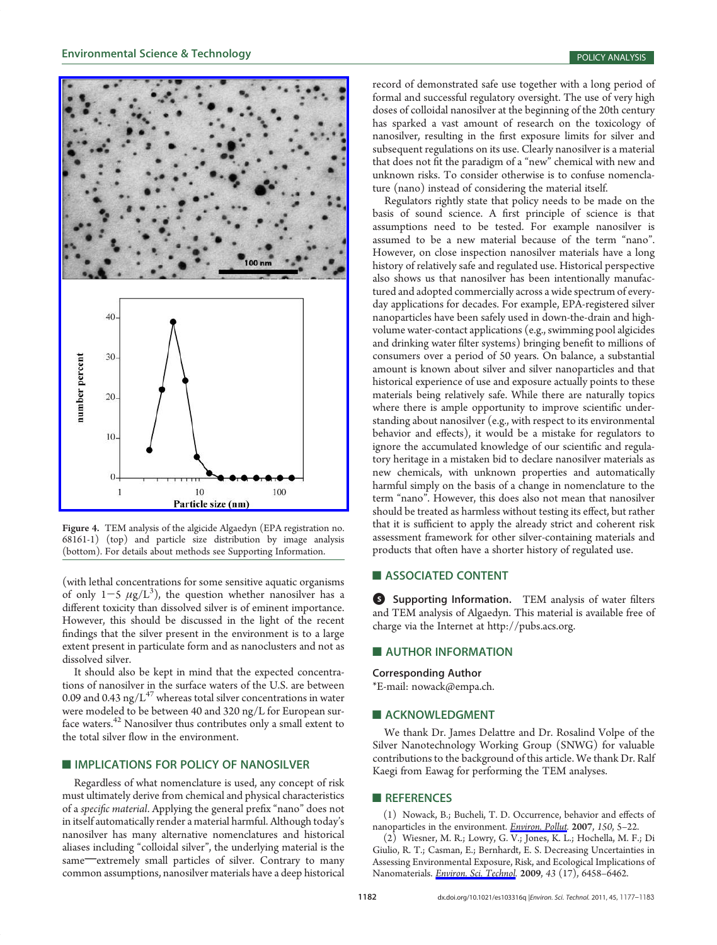

Figure 4. TEM analysis of the algicide Algaedyn (EPA registration no. 68161-1) (top) and particle size distribution by image analysis (bottom). For details about methods see Supporting Information.

(with lethal concentrations for some sensitive aquatic organisms of only  $1-5 \mu g/L^3$ ), the question whether nanosilver has a different toxicity than dissolved silver is of eminent importance. However, this should be discussed in the light of the recent findings that the silver present in the environment is to a large extent present in particulate form and as nanoclusters and not as dissolved silver.

It should also be kept in mind that the expected concentrations of nanosilver in the surface waters of the U.S. are between 0.09 and 0.43 ng/ $L^{47}$  whereas total silver concentrations in water were modeled to be between 40 and 320 ng/L for European surface waters.<sup>42</sup> Nanosilver thus contributes only a small extent to the total silver flow in the environment.

# **IMPLICATIONS FOR POLICY OF NANOSILVER**

Regardless of what nomenclature is used, any concept of risk must ultimately derive from chemical and physical characteristics of a specific material. Applying the general prefix "nano" does not in itself automatically render a material harmful. Although today's nanosilver has many alternative nomenclatures and historical aliases including "colloidal silver", the underlying material is the same<sup>---</sup>extremely small particles of silver. Contrary to many common assumptions, nanosilver materials have a deep historical record of demonstrated safe use together with a long period of formal and successful regulatory oversight. The use of very high doses of colloidal nanosilver at the beginning of the 20th century has sparked a vast amount of research on the toxicology of nanosilver, resulting in the first exposure limits for silver and subsequent regulations on its use. Clearly nanosilver is a material that does not fit the paradigm of a "new" chemical with new and unknown risks. To consider otherwise is to confuse nomenclature (nano) instead of considering the material itself.

Regulators rightly state that policy needs to be made on the basis of sound science. A first principle of science is that assumptions need to be tested. For example nanosilver is assumed to be a new material because of the term "nano". However, on close inspection nanosilver materials have a long history of relatively safe and regulated use. Historical perspective also shows us that nanosilver has been intentionally manufactured and adopted commercially across a wide spectrum of everyday applications for decades. For example, EPA-registered silver nanoparticles have been safely used in down-the-drain and highvolume water-contact applications (e.g., swimming pool algicides and drinking water filter systems) bringing benefit to millions of consumers over a period of 50 years. On balance, a substantial amount is known about silver and silver nanoparticles and that historical experience of use and exposure actually points to these materials being relatively safe. While there are naturally topics where there is ample opportunity to improve scientific understanding about nanosilver (e.g., with respect to its environmental behavior and effects), it would be a mistake for regulators to ignore the accumulated knowledge of our scientific and regulatory heritage in a mistaken bid to declare nanosilver materials as new chemicals, with unknown properties and automatically harmful simply on the basis of a change in nomenclature to the term "nano". However, this does also not mean that nanosilver should be treated as harmless without testing its effect, but rather that it is sufficient to apply the already strict and coherent risk assessment framework for other silver-containing materials and products that often have a shorter history of regulated use.

# **ASSOCIATED CONTENT**

**6** Supporting Information. TEM analysis of water filters and TEM analysis of Algaedyn. This material is available free of charge via the Internet at http://pubs.acs.org.

### **NUTHOR INFORMATION**

#### Corresponding Author

\*E-mail: nowack@empa.ch.

#### **ACKNOWLEDGMENT**

We thank Dr. James Delattre and Dr. Rosalind Volpe of the Silver Nanotechnology Working Group (SNWG) for valuable contributions to the background of this article. We thank Dr. Ralf Kaegi from Eawag for performing the TEM analyses.

#### **REFERENCES**

(1) Nowack, B.; Bucheli, T. D. Occurrence, behavior and effects of nanoparticles in the environment. *Environ. Pollut.* 2007, 150, 5-22.

 $(2)$  Wiesner, M. R.; Lowry, G.  $\overline{V}$ .; Jones, K. L.; Hochella, M. F.; Di Giulio, R. T.; Casman, E.; Bernhardt, E. S. Decreasing Uncertainties in Assessing Environmental Exposure, Risk, and Ecological Implications of Nanomaterials. Environ. Sci. Technol. 2009, 43 (17), 6458-6462.